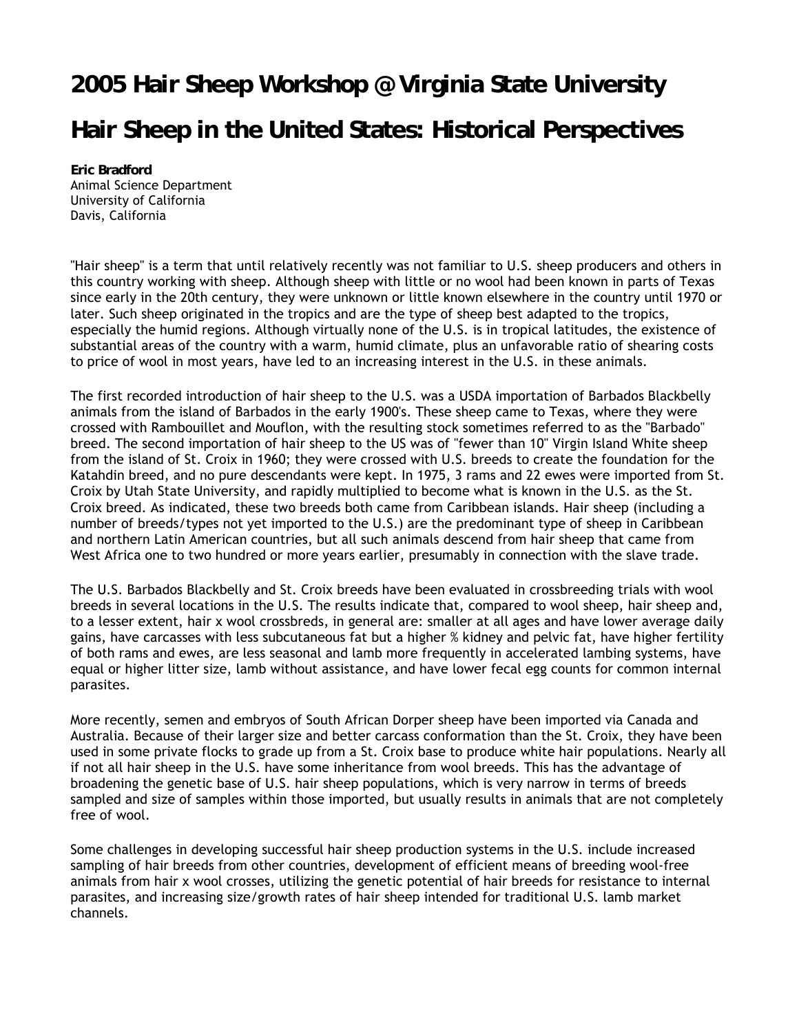## **2005 Hair Sheep Workshop @ Virginia State University Hair Sheep in the United States: Historical Perspectives**

**Eric Bradford** Animal Science Department University of California Davis, California

"Hair sheep" is a term that until relatively recently was not familiar to U.S. sheep producers and others in this country working with sheep. Although sheep with little or no wool had been known in parts of Texas since early in the 20th century, they were unknown or little known elsewhere in the country until 1970 or later. Such sheep originated in the tropics and are the type of sheep best adapted to the tropics, especially the humid regions. Although virtually none of the U.S. is in tropical latitudes, the existence of substantial areas of the country with a warm, humid climate, plus an unfavorable ratio of shearing costs to price of wool in most years, have led to an increasing interest in the U.S. in these animals.

The first recorded introduction of hair sheep to the U.S. was a USDA importation of Barbados Blackbelly animals from the island of Barbados in the early 1900's. These sheep came to Texas, where they were crossed with Rambouillet and Mouflon, with the resulting stock sometimes referred to as the "Barbado" breed. The second importation of hair sheep to the US was of "fewer than 10" Virgin Island White sheep from the island of St. Croix in 1960; they were crossed with U.S. breeds to create the foundation for the Katahdin breed, and no pure descendants were kept. In 1975, 3 rams and 22 ewes were imported from St. Croix by Utah State University, and rapidly multiplied to become what is known in the U.S. as the St. Croix breed. As indicated, these two breeds both came from Caribbean islands. Hair sheep (including a number of breeds/types not yet imported to the U.S.) are the predominant type of sheep in Caribbean and northern Latin American countries, but all such animals descend from hair sheep that came from West Africa one to two hundred or more years earlier, presumably in connection with the slave trade.

The U.S. Barbados Blackbelly and St. Croix breeds have been evaluated in crossbreeding trials with wool breeds in several locations in the U.S. The results indicate that, compared to wool sheep, hair sheep and, to a lesser extent, hair x wool crossbreds, in general are: smaller at all ages and have lower average daily gains, have carcasses with less subcutaneous fat but a higher % kidney and pelvic fat, have higher fertility of both rams and ewes, are less seasonal and lamb more frequently in accelerated lambing systems, have equal or higher litter size, lamb without assistance, and have lower fecal egg counts for common internal parasites.

More recently, semen and embryos of South African Dorper sheep have been imported via Canada and Australia. Because of their larger size and better carcass conformation than the St. Croix, they have been used in some private flocks to grade up from a St. Croix base to produce white hair populations. Nearly all if not all hair sheep in the U.S. have some inheritance from wool breeds. This has the advantage of broadening the genetic base of U.S. hair sheep populations, which is very narrow in terms of breeds sampled and size of samples within those imported, but usually results in animals that are not completely free of wool.

Some challenges in developing successful hair sheep production systems in the U.S. include increased sampling of hair breeds from other countries, development of efficient means of breeding wool-free animals from hair x wool crosses, utilizing the genetic potential of hair breeds for resistance to internal parasites, and increasing size/growth rates of hair sheep intended for traditional U.S. lamb market channels.